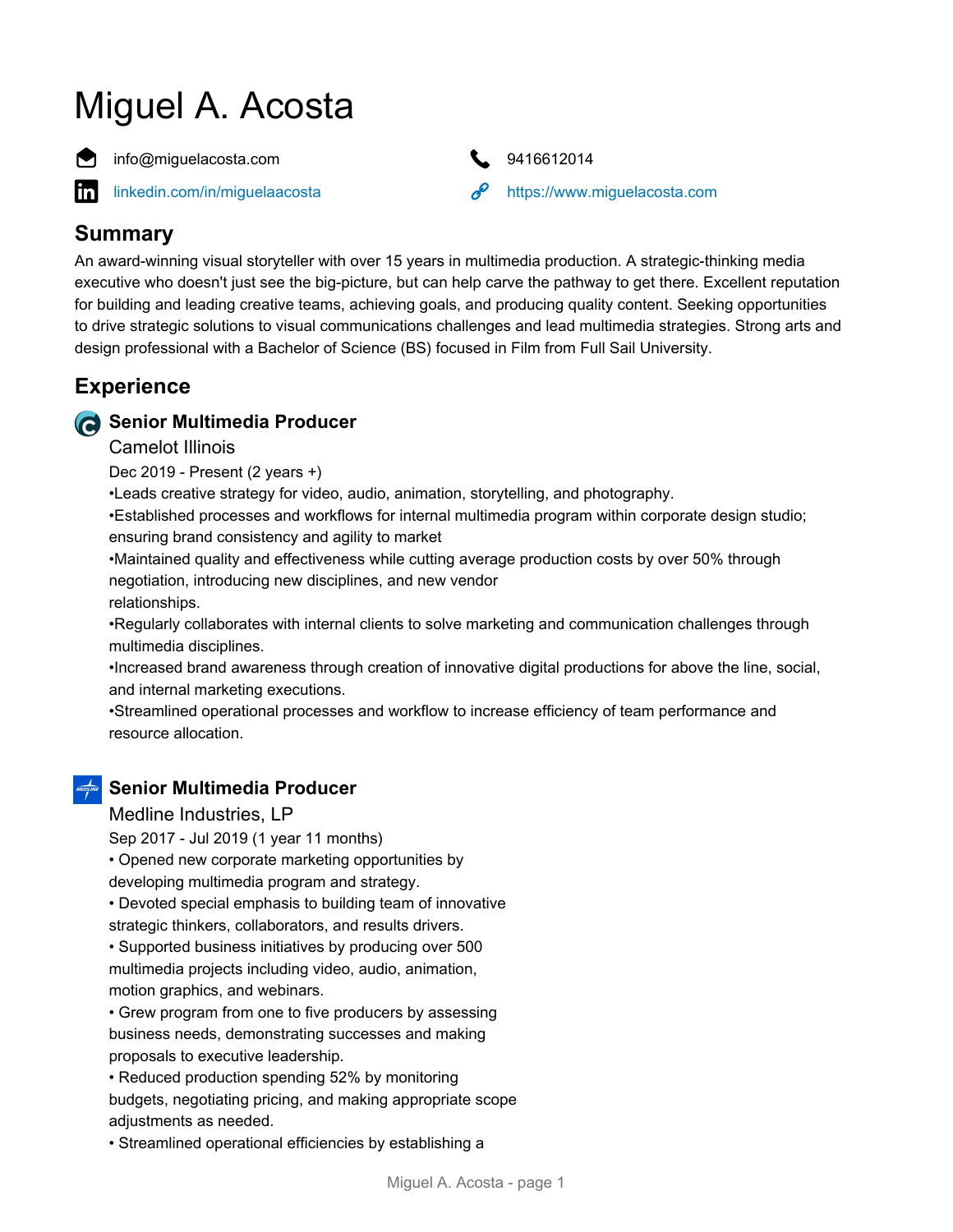# Miguel A. Acosta



in

info@miguelacosta.com 9416612014



[linkedin.com/in/miguelaacosta](https://www.linkedin.com/in/miguelaacosta) <https://www.miguelacosta.com>

## **Summary**

An award-winning visual storyteller with over 15 years in multimedia production. A strategic-thinking media executive who doesn't just see the big-picture, but can help carve the pathway to get there. Excellent reputation for building and leading creative teams, achieving goals, and producing quality content. Seeking opportunities to drive strategic solutions to visual communications challenges and lead multimedia strategies. Strong arts and design professional with a Bachelor of Science (BS) focused in Film from Full Sail University.

# **Experience**

## **Senior Multimedia Producer**

#### Camelot Illinois

Dec 2019 - Present (2 years +)

•Leads creative strategy for video, audio, animation, storytelling, and photography.

•Established processes and workflows for internal multimedia program within corporate design studio; ensuring brand consistency and agility to market

•Maintained quality and effectiveness while cutting average production costs by over 50% through negotiation, introducing new disciplines, and new vendor

relationships.

•Regularly collaborates with internal clients to solve marketing and communication challenges through multimedia disciplines.

•Increased brand awareness through creation of innovative digital productions for above the line, social, and internal marketing executions.

•Streamlined operational processes and workflow to increase efficiency of team performance and resource allocation.

## **Senior Multimedia Producer**

Medline Industries, LP

Sep 2017 - Jul 2019 (1 year 11 months)

• Opened new corporate marketing opportunities by

developing multimedia program and strategy.

• Devoted special emphasis to building team of innovative strategic thinkers, collaborators, and results drivers.

• Supported business initiatives by producing over 500 multimedia projects including video, audio, animation, motion graphics, and webinars.

• Grew program from one to five producers by assessing business needs, demonstrating successes and making proposals to executive leadership.

• Reduced production spending 52% by monitoring budgets, negotiating pricing, and making appropriate scope adjustments as needed.

• Streamlined operational efficiencies by establishing a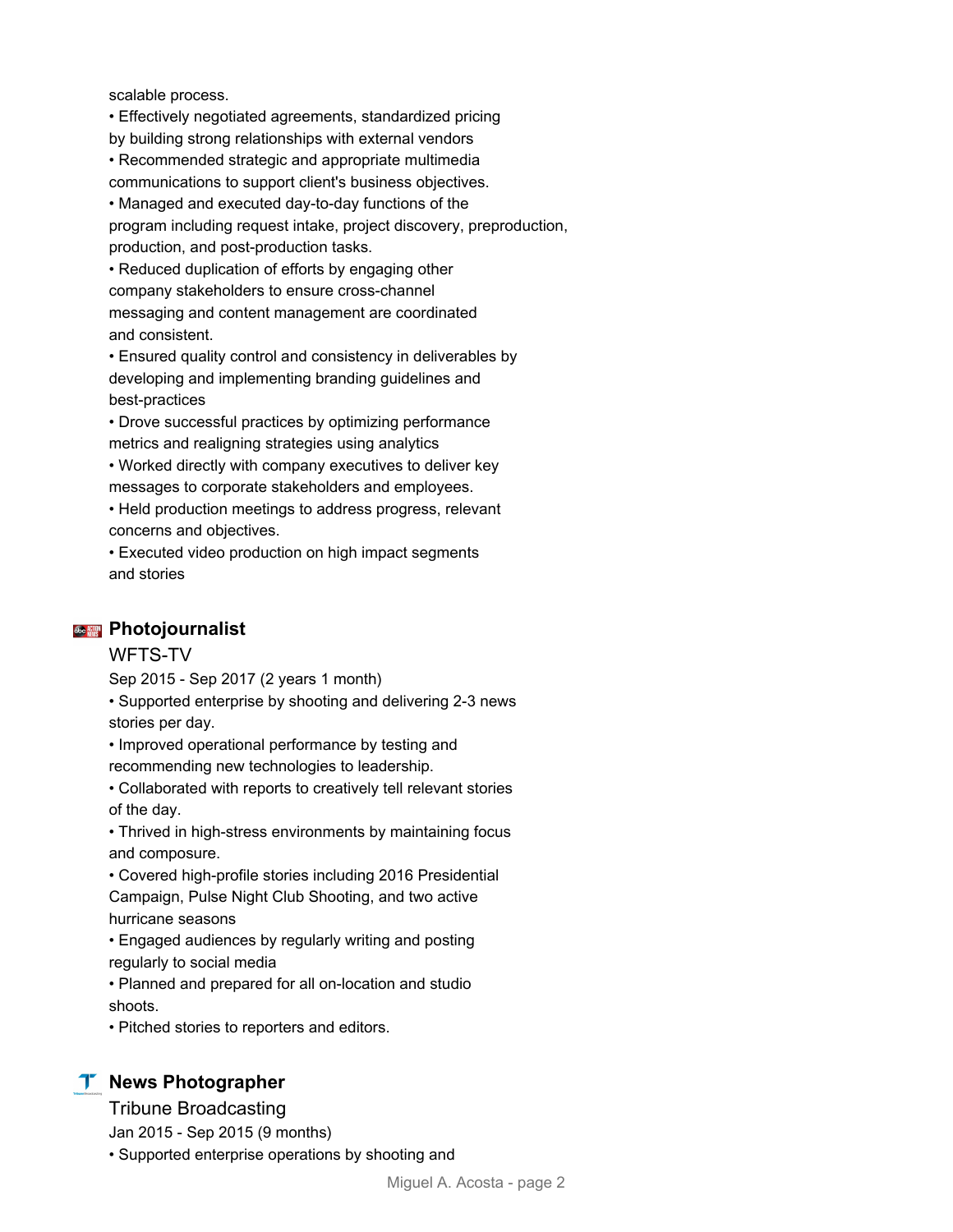scalable process.

• Effectively negotiated agreements, standardized pricing by building strong relationships with external vendors

• Recommended strategic and appropriate multimedia

communications to support client's business objectives.

• Managed and executed day-to-day functions of the

program including request intake, project discovery, preproduction, production, and post-production tasks.

• Reduced duplication of efforts by engaging other company stakeholders to ensure cross-channel messaging and content management are coordinated and consistent.

• Ensured quality control and consistency in deliverables by developing and implementing branding guidelines and best-practices

• Drove successful practices by optimizing performance metrics and realigning strategies using analytics

• Worked directly with company executives to deliver key messages to corporate stakeholders and employees.

• Held production meetings to address progress, relevant concerns and objectives.

• Executed video production on high impact segments and stories

#### **<sup>※</sup> ///</del> Photojournalist**

#### WFTS-TV

Sep 2015 - Sep 2017 (2 years 1 month)

• Supported enterprise by shooting and delivering 2-3 news stories per day.

• Improved operational performance by testing and recommending new technologies to leadership.

• Collaborated with reports to creatively tell relevant stories of the day.

• Thrived in high-stress environments by maintaining focus and composure.

• Covered high-profile stories including 2016 Presidential Campaign, Pulse Night Club Shooting, and two active hurricane seasons

• Engaged audiences by regularly writing and posting regularly to social media

• Planned and prepared for all on-location and studio shoots.

• Pitched stories to reporters and editors.

### **T** News Photographer

Tribune Broadcasting

Jan 2015 - Sep 2015 (9 months)

• Supported enterprise operations by shooting and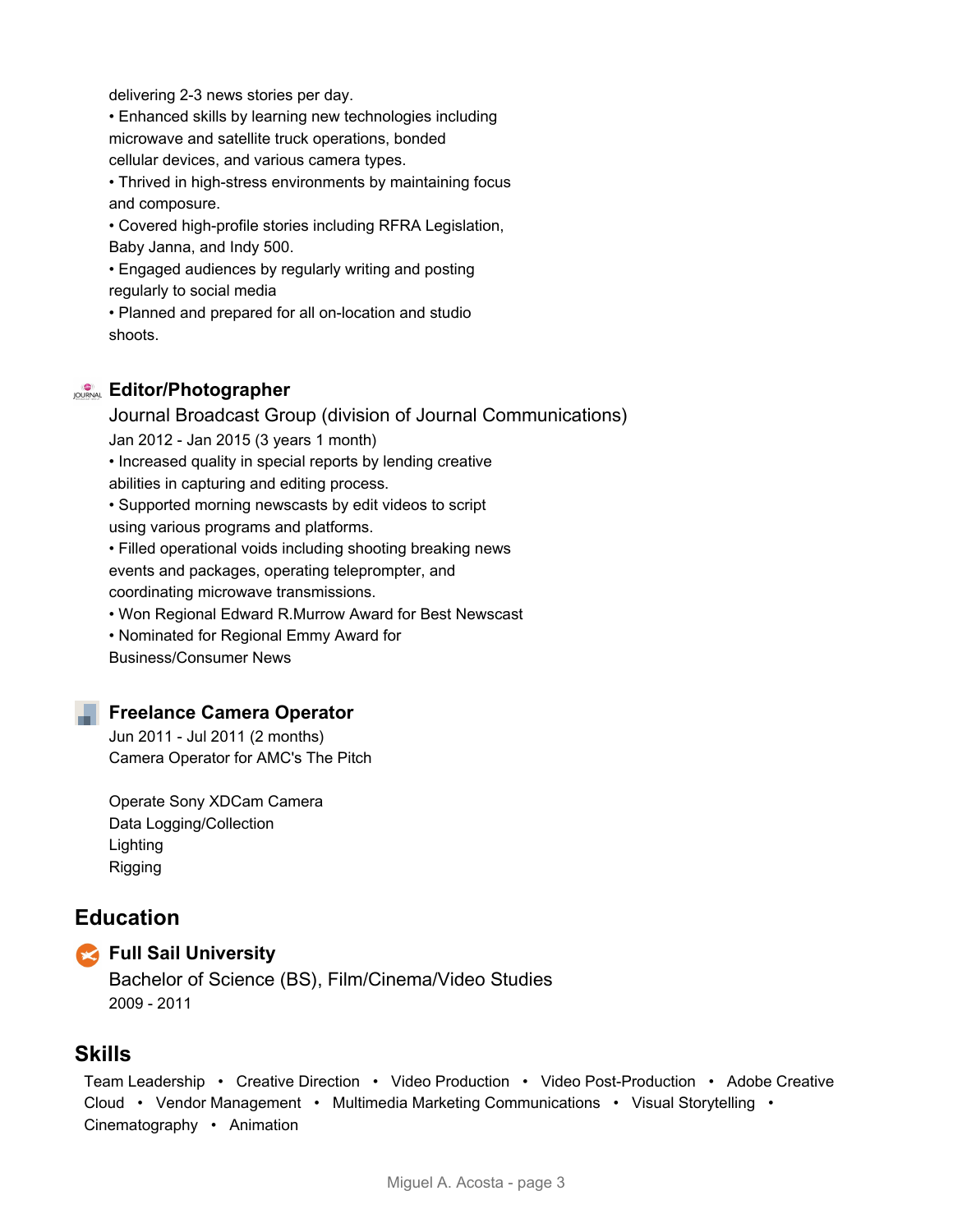delivering 2-3 news stories per day.

• Enhanced skills by learning new technologies including microwave and satellite truck operations, bonded cellular devices, and various camera types.

• Thrived in high-stress environments by maintaining focus and composure.

• Covered high-profile stories including RFRA Legislation, Baby Janna, and Indy 500.

• Engaged audiences by regularly writing and posting regularly to social media

• Planned and prepared for all on-location and studio shoots.

#### **Editor/Photographer**

Journal Broadcast Group (division of Journal Communications) Jan 2012 - Jan 2015 (3 years 1 month) • Increased quality in special reports by lending creative abilities in capturing and editing process. • Supported morning newscasts by edit videos to script using various programs and platforms. • Filled operational voids including shooting breaking news

events and packages, operating teleprompter, and coordinating microwave transmissions.

• Won Regional Edward R.Murrow Award for Best Newscast

• Nominated for Regional Emmy Award for

Business/Consumer News

### **Freelance Camera Operator**

Jun 2011 - Jul 2011 (2 months) Camera Operator for AMC's The Pitch

Operate Sony XDCam Camera Data Logging/Collection Lighting Rigging

## **Education**



#### **Full Sail University**

Bachelor of Science (BS), Film/Cinema/Video Studies 2009 - 2011

## **Skills**

Team Leadership • Creative Direction • Video Production • Video Post-Production • Adobe Creative Cloud • Vendor Management • Multimedia Marketing Communications • Visual Storytelling • Cinematography • Animation